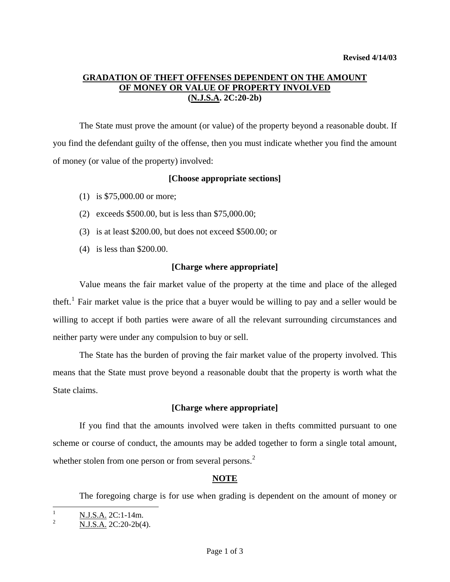# **GRADATION OF THEFT OFFENSES DEPENDENT ON THE AMOUNT OF MONEY OR VALUE OF PROPERTY INVOLVED (N.J.S.A. 2C:20-2b)**

 The State must prove the amount (or value) of the property beyond a reasonable doubt. If you find the defendant guilty of the offense, then you must indicate whether you find the amount of money (or value of the property) involved:

### **[Choose appropriate sections]**

- (1) is \$75,000.00 or more;
- (2) exceeds \$500.00, but is less than \$75,000.00;
- (3) is at least \$200.00, but does not exceed \$500.00; or
- (4) is less than \$200.00.

## **[Charge where appropriate]**

 Value means the fair market value of the property at the time and place of the alleged theft.<sup>[1](#page-0-0)</sup> Fair market value is the price that a buyer would be willing to pay and a seller would be willing to accept if both parties were aware of all the relevant surrounding circumstances and neither party were under any compulsion to buy or sell.

 The State has the burden of proving the fair market value of the property involved. This means that the State must prove beyond a reasonable doubt that the property is worth what the State claims.

## **[Charge where appropriate]**

 If you find that the amounts involved were taken in thefts committed pursuant to one scheme or course of conduct, the amounts may be added together to form a single total amount, whether stolen from one person or from several persons.<sup>[2](#page-0-1)</sup>

## **NOTE**

The foregoing charge is for use when grading is dependent on the amount of money or

 $\frac{1}{1}$ N.J.S.A. 2C:1-14m.

<span id="page-0-1"></span><span id="page-0-0"></span><sup>2</sup> N.J.S.A. 2C:20-2b(4).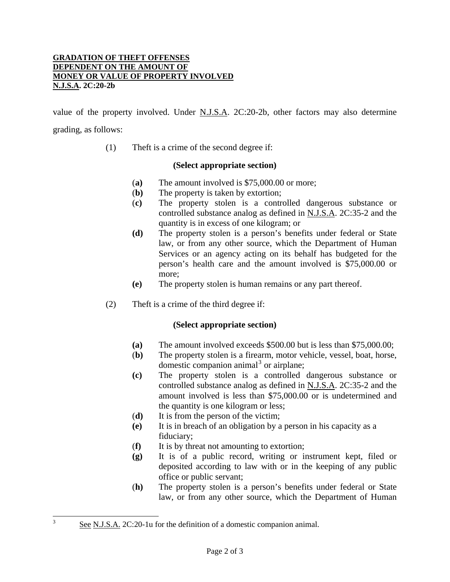#### **GRADATION OF THEFT OFFENSES DEPENDENT ON THE AMOUNT OF MONEY OR VALUE OF PROPERTY INVOLVED N.J.S.A. 2C:20-2b**

value of the property involved. Under N.J.S.A. 2C:20-2b, other factors may also determine grading, as follows:

(1) Theft is a crime of the second degree if:

#### **(Select appropriate section)**

- (**a)** The amount involved is \$75,000.00 or more;
- (**b)** The property is taken by extortion;
- (**c)** The property stolen is a controlled dangerous substance or controlled substance analog as defined in N.J.S.A. 2C:35-2 and the quantity is in excess of one kilogram; or
- **(d)** The property stolen is a person's benefits under federal or State law, or from any other source, which the Department of Human Services or an agency acting on its behalf has budgeted for the person's health care and the amount involved is \$75,000.00 or more;
- **(e)** The property stolen is human remains or any part thereof.
- (2) Theft is a crime of the third degree if:

#### **(Select appropriate section)**

- **(a)** The amount involved exceeds \$500.00 but is less than \$75,000.00;
- (**b)** The property stolen is a firearm, motor vehicle, vessel, boat, horse, domestic companion animal<sup>[3](#page-1-0)</sup> or airplane;
- **(c)** The property stolen is a controlled dangerous substance or controlled substance analog as defined in N.J.S.A. 2C:35-2 and the amount involved is less than \$75,000.00 or is undetermined and the quantity is one kilogram or less;
- (**d)** It is from the person of the victim;
- **(e)** It is in breach of an obligation by a person in his capacity as a fiduciary;
- (**f)** It is by threat not amounting to extortion;
- **(g)** It is of a public record, writing or instrument kept, filed or deposited according to law with or in the keeping of any public office or public servant;
- (**h)** The property stolen is a person's benefits under federal or State law, or from any other source, which the Department of Human

<span id="page-1-0"></span> 3 See N.J.S.A. 2C:20-1u for the definition of a domestic companion animal.